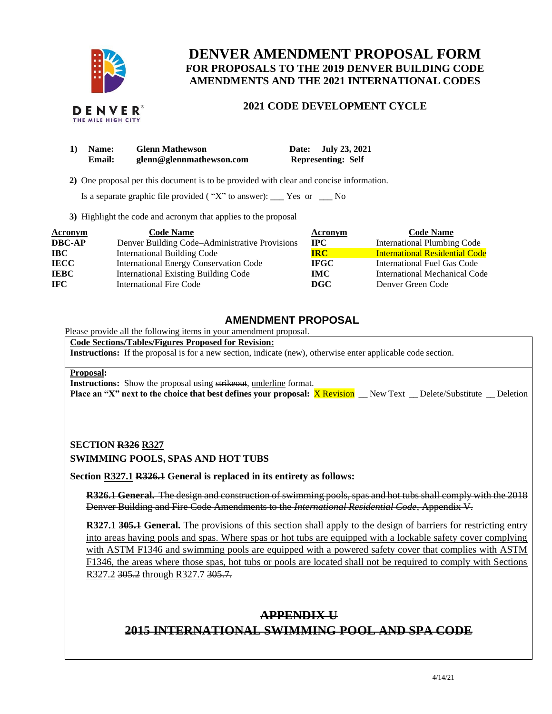

# **DENVER AMENDMENT PROPOSAL FORM FOR PROPOSALS TO THE 2019 DENVER BUILDING CODE AMENDMENTS AND THE 2021 INTERNATIONAL CODES**

### **2021 CODE DEVELOPMENT CYCLE**

| 1) | <b>Name:</b> | <b>Glenn Mathewson</b>   | July 23, 2021<br>Date:    |
|----|--------------|--------------------------|---------------------------|
|    | Email:       | glenn@glennmathewson.com | <b>Representing: Self</b> |

 **2)** One proposal per this document is to be provided with clear and concise information.

Is a separate graphic file provided ( "X" to answer):  $\_\_\_\$  Yes or  $\_\_\_\$  No

**3)** Highlight the code and acronym that applies to the proposal

| <b>Acronym</b> | <b>Code Name</b>                               | Acronym      | <b>Code Name</b>                      |
|----------------|------------------------------------------------|--------------|---------------------------------------|
| <b>DBC-AP</b>  | Denver Building Code–Administrative Provisions | $_{\rm IPC}$ | <b>International Plumbing Code</b>    |
| $\bf IBC$      | <b>International Building Code</b>             | <b>IRC</b>   | <b>International Residential Code</b> |
| <b>IECC</b>    | <b>International Energy Conservation Code</b>  | <b>IFGC</b>  | International Fuel Gas Code           |
| <b>IEBC</b>    | <b>International Existing Building Code</b>    | <b>IMC</b>   | International Mechanical Code         |
| <b>IFC</b>     | International Fire Code                        | <b>DGC</b>   | Denver Green Code                     |

## **AMENDMENT PROPOSAL**

Please provide all the following items in your amendment proposal.

**Code Sections/Tables/Figures Proposed for Revision:**

**Instructions:** If the proposal is for a new section, indicate (new), otherwise enter applicable code section.

#### **Proposal:**

**Instructions:** Show the proposal using strikeout, underline format.

**Place an "X" next to the choice that best defines your proposal:** X Revision \_\_ New Text \_\_ Delete/Substitute \_\_ Deletion

## **SECTION R326 R327 SWIMMING POOLS, SPAS AND HOT TUBS**

**Section R327.1 R326.1 General is replaced in its entirety as follows:**

**R326.1 General.** The design and construction of swimming pools, spas and hot tubs shall comply with the 2018 Denver Building and Fire Code Amendments to the *International Residential Code*, Appendix V.

**R327.1 305.1 General.** The provisions of this section shall apply to the design of barriers for restricting entry into areas having pools and spas. Where spas or hot tubs are equipped with a lockable safety cover complying with ASTM F1346 and swimming pools are equipped with a powered safety cover that complies with ASTM F1346, the areas where those spas, hot tubs or pools are located shall not be required to comply with Sections R327.2 305.2 through R327.7 305.7.

# **APPENDIX U 2015 INTERNATIONAL SWIMMING POOL AND SPA CODE**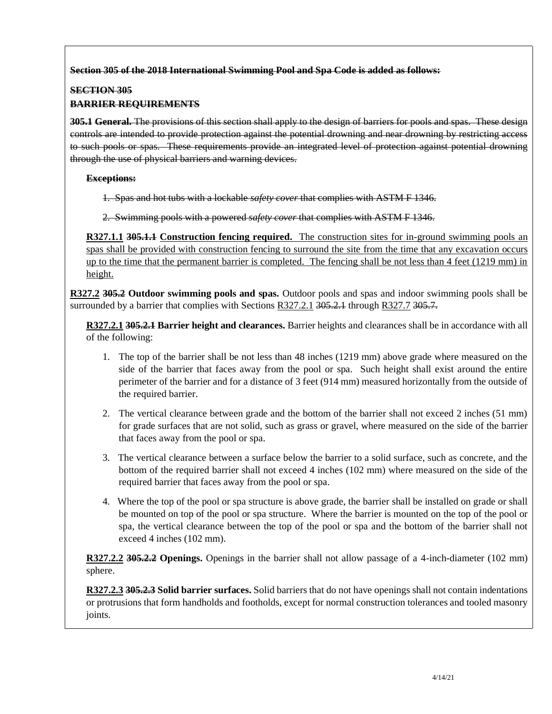### **Section 305 of the 2018 International Swimming Pool and Spa Code is added as follows:**

### **SECTION 305**

### **BARRIER REQUIREMENTS**

**305.1 General.** The provisions of this section shall apply to the design of barriers for pools and spas. These design controls are intended to provide protection against the potential drowning and near drowning by restricting access to such pools or spas. These requirements provide an integrated level of protection against potential drowning through the use of physical barriers and warning devices.

### **Exceptions:**

1. Spas and hot tubs with a lockable *safety cover* that complies with ASTM F 1346.

2. Swimming pools with a powered *safety cover* that complies with ASTM F 1346.

**R327.1.1 305.1.1 Construction fencing required.** The construction sites for in-ground swimming pools an spas shall be provided with construction fencing to surround the site from the time that any excavation occurs up to the time that the permanent barrier is completed. The fencing shall be not less than 4 feet (1219 mm) in height.

**R327.2 305.2 Outdoor swimming pools and spas.** Outdoor pools and spas and indoor swimming pools shall be surrounded by a barrier that complies with Sections R327.2.1 305.2.1 through R327.7 305.7.

**R327.2.1 305.2.1 Barrier height and clearances.** Barrier heights and clearances shall be in accordance with all of the following:

- 1. The top of the barrier shall be not less than 48 inches (1219 mm) above grade where measured on the side of the barrier that faces away from the pool or spa. Such height shall exist around the entire perimeter of the barrier and for a distance of 3 feet (914 mm) measured horizontally from the outside of the required barrier.
- 2. The vertical clearance between grade and the bottom of the barrier shall not exceed 2 inches (51 mm) for grade surfaces that are not solid, such as grass or gravel, where measured on the side of the barrier that faces away from the pool or spa.
- 3. The vertical clearance between a surface below the barrier to a solid surface, such as concrete, and the bottom of the required barrier shall not exceed 4 inches (102 mm) where measured on the side of the required barrier that faces away from the pool or spa.
- 4. Where the top of the pool or spa structure is above grade, the barrier shall be installed on grade or shall be mounted on top of the pool or spa structure. Where the barrier is mounted on the top of the pool or spa, the vertical clearance between the top of the pool or spa and the bottom of the barrier shall not exceed 4 inches (102 mm).

**R327.2.2 305.2.2 Openings.** Openings in the barrier shall not allow passage of a 4-inch-diameter (102 mm) sphere.

**R327.2.3 305.2.3 Solid barrier surfaces.** Solid barriers that do not have openings shall not contain indentations or protrusions that form handholds and footholds, except for normal construction tolerances and tooled masonry joints.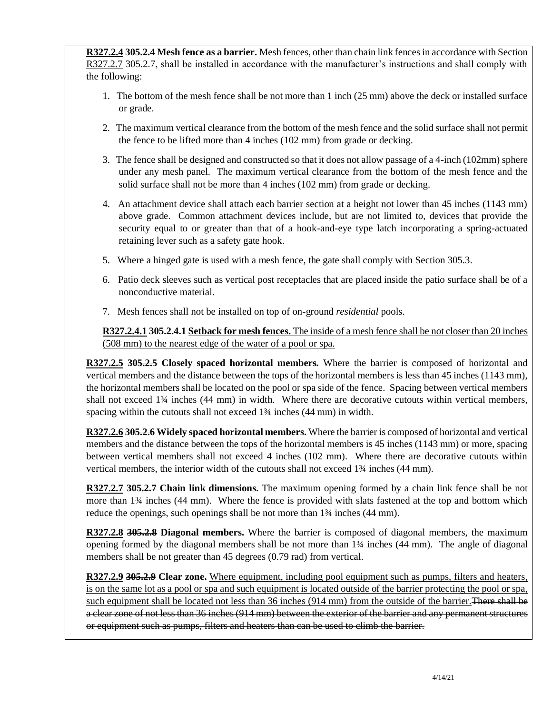**R327.2.4 305.2.4 Mesh fence as a barrier.** Mesh fences, other than chain link fences in accordance with Section R327.2.7 305.2.7, shall be installed in accordance with the manufacturer's instructions and shall comply with the following:

- 1. The bottom of the mesh fence shall be not more than 1 inch (25 mm) above the deck or installed surface or grade.
- 2. The maximum vertical clearance from the bottom of the mesh fence and the solid surface shall not permit the fence to be lifted more than 4 inches (102 mm) from grade or decking.
- 3. The fence shall be designed and constructed so that it does not allow passage of a 4-inch (102mm) sphere under any mesh panel. The maximum vertical clearance from the bottom of the mesh fence and the solid surface shall not be more than 4 inches (102 mm) from grade or decking.
- 4. An attachment device shall attach each barrier section at a height not lower than 45 inches (1143 mm) above grade. Common attachment devices include, but are not limited to, devices that provide the security equal to or greater than that of a hook-and-eye type latch incorporating a spring-actuated retaining lever such as a safety gate hook.
- 5. Where a hinged gate is used with a mesh fence, the gate shall comply with Section 305.3.
- 6. Patio deck sleeves such as vertical post receptacles that are placed inside the patio surface shall be of a nonconductive material.
- 7. Mesh fences shall not be installed on top of on-ground *residential* pools.

**R327.2.4.1 305.2.4.1 Setback for mesh fences.** The inside of a mesh fence shall be not closer than 20 inches (508 mm) to the nearest edge of the water of a pool or spa.

**R327.2.5 305.2.5 Closely spaced horizontal members.** Where the barrier is composed of horizontal and vertical members and the distance between the tops of the horizontal members is less than 45 inches (1143 mm), the horizontal members shall be located on the pool or spa side of the fence. Spacing between vertical members shall not exceed 1<sup>3</sup>/<sub>4</sub> inches (44 mm) in width. Where there are decorative cutouts within vertical members, spacing within the cutouts shall not exceed  $1\frac{3}{4}$  inches (44 mm) in width.

**R327.2.6 305.2.6 Widely spaced horizontal members.** Where the barrier is composed of horizontal and vertical members and the distance between the tops of the horizontal members is 45 inches (1143 mm) or more, spacing between vertical members shall not exceed 4 inches (102 mm). Where there are decorative cutouts within vertical members, the interior width of the cutouts shall not exceed 1¾ inches (44 mm).

**R327.2.7 305.2.7 Chain link dimensions.** The maximum opening formed by a chain link fence shall be not more than 1¾ inches (44 mm). Where the fence is provided with slats fastened at the top and bottom which reduce the openings, such openings shall be not more than  $1\frac{3}{4}$  inches (44 mm).

**R327.2.8 305.2.8 Diagonal members.** Where the barrier is composed of diagonal members, the maximum opening formed by the diagonal members shall be not more than 1¾ inches (44 mm). The angle of diagonal members shall be not greater than 45 degrees (0.79 rad) from vertical.

**R327.2.9 305.2.9 Clear zone.** Where equipment, including pool equipment such as pumps, filters and heaters, is on the same lot as a pool or spa and such equipment is located outside of the barrier protecting the pool or spa, such equipment shall be located not less than 36 inches (914 mm) from the outside of the barrier. There shall be a clear zone of not less than 36 inches (914 mm) between the exterior of the barrier and any permanent structures or equipment such as pumps, filters and heaters than can be used to climb the barrier.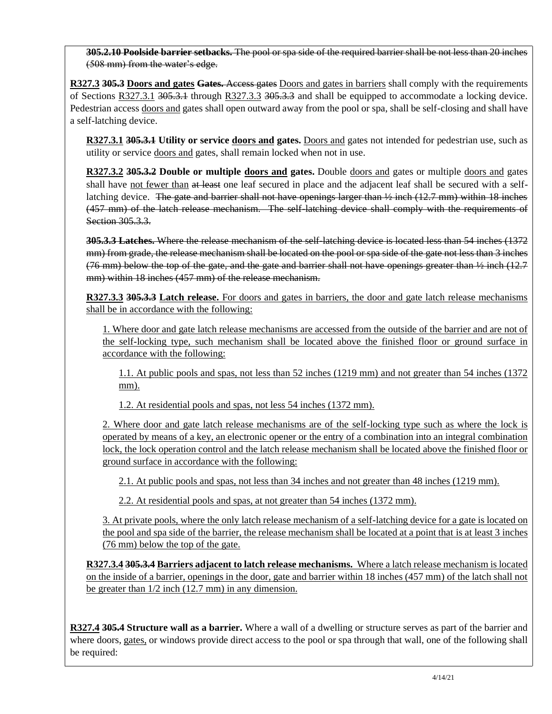**305.2.10 Poolside barrier setbacks.** The pool or spa side of the required barrier shall be not less than 20 inches (508 mm) from the water's edge.

**R327.3 305.3 Doors and gates Gates.** Access gates Doors and gates in barriers shall comply with the requirements of Sections R327.3.1 305.3.1 through R327.3.3 305.3.3 and shall be equipped to accommodate a locking device. Pedestrian access doors and gates shall open outward away from the pool or spa, shall be self-closing and shall have a self-latching device.

**R327.3.1 305.3.1 Utility or service doors and gates.** Doors and gates not intended for pedestrian use, such as utility or service doors and gates, shall remain locked when not in use.

**R327.3.2 305.3.2 Double or multiple doors and gates.** Double doors and gates or multiple doors and gates shall have not fewer than at least one leaf secured in place and the adjacent leaf shall be secured with a selflatching device. The gate and barrier shall not have openings larger than  $\frac{1}{2}$  inch (12.7 mm) within 18 inches (457 mm) of the latch release mechanism. The self-latching device shall comply with the requirements of Section 305.3.3.

**305.3.3 Latches.** Where the release mechanism of the self-latching device is located less than 54 inches (1372 mm) from grade, the release mechanism shall be located on the pool or spa side of the gate not less than 3 inches (76 mm) below the top of the gate, and the gate and barrier shall not have openings greater than ½ inch (12.7 mm) within 18 inches (457 mm) of the release mechanism.

**R327.3.3 305.3.3 Latch release.** For doors and gates in barriers, the door and gate latch release mechanisms shall be in accordance with the following:

1. Where door and gate latch release mechanisms are accessed from the outside of the barrier and are not of the self-locking type, such mechanism shall be located above the finished floor or ground surface in accordance with the following:

1.1. At public pools and spas, not less than 52 inches (1219 mm) and not greater than 54 inches (1372 mm).

1.2. At residential pools and spas, not less 54 inches (1372 mm).

2. Where door and gate latch release mechanisms are of the self-locking type such as where the lock is operated by means of a key, an electronic opener or the entry of a combination into an integral combination lock, the lock operation control and the latch release mechanism shall be located above the finished floor or ground surface in accordance with the following:

2.1. At public pools and spas, not less than 34 inches and not greater than 48 inches (1219 mm).

2.2. At residential pools and spas, at not greater than 54 inches (1372 mm).

3. At private pools, where the only latch release mechanism of a self-latching device for a gate is located on the pool and spa side of the barrier, the release mechanism shall be located at a point that is at least 3 inches (76 mm) below the top of the gate.

**R327.3.4 305.3.4 Barriers adjacent to latch release mechanisms.** Where a latch release mechanism is located on the inside of a barrier, openings in the door, gate and barrier within 18 inches (457 mm) of the latch shall not be greater than  $1/2$  inch (12.7 mm) in any dimension.

**R327.4 305.4 Structure wall as a barrier.** Where a wall of a dwelling or structure serves as part of the barrier and where doors, gates, or windows provide direct access to the pool or spa through that wall, one of the following shall be required: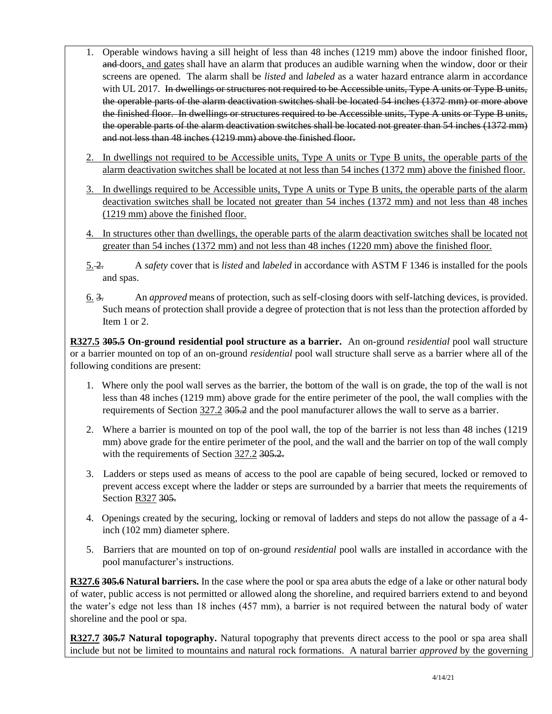- 1. Operable windows having a sill height of less than 48 inches (1219 mm) above the indoor finished floor, and doors, and gates shall have an alarm that produces an audible warning when the window, door or their screens are opened. The alarm shall be *listed* and *labeled* as a water hazard entrance alarm in accordance with UL 2017. In dwellings or structures not required to be Accessible units, Type A units or Type B units, the operable parts of the alarm deactivation switches shall be located 54 inches (1372 mm) or more above the finished floor. In dwellings or structures required to be Accessible units, Type A units or Type B units, the operable parts of the alarm deactivation switches shall be located not greater than 54 inches (1372 mm) and not less than 48 inches (1219 mm) above the finished floor.
- 2. In dwellings not required to be Accessible units, Type A units or Type B units, the operable parts of the alarm deactivation switches shall be located at not less than 54 inches (1372 mm) above the finished floor.
- 3. In dwellings required to be Accessible units, Type A units or Type B units, the operable parts of the alarm deactivation switches shall be located not greater than 54 inches (1372 mm) and not less than 48 inches (1219 mm) above the finished floor.
- 4. In structures other than dwellings, the operable parts of the alarm deactivation switches shall be located not greater than 54 inches (1372 mm) and not less than 48 inches (1220 mm) above the finished floor.
- 5. 2. A *safety* cover that is *listed* and *labeled* in accordance with ASTM F 1346 is installed for the pools and spas.
- 6. 3. An *approved* means of protection, such as self-closing doors with self-latching devices, is provided. Such means of protection shall provide a degree of protection that is not less than the protection afforded by Item 1 or 2.

**R327.5 305.5 On-ground residential pool structure as a barrier.** An on-ground *residential* pool wall structure or a barrier mounted on top of an on-ground *residential* pool wall structure shall serve as a barrier where all of the following conditions are present:

- 1. Where only the pool wall serves as the barrier, the bottom of the wall is on grade, the top of the wall is not less than 48 inches (1219 mm) above grade for the entire perimeter of the pool, the wall complies with the requirements of Section 327.2 305.2 and the pool manufacturer allows the wall to serve as a barrier.
- 2. Where a barrier is mounted on top of the pool wall, the top of the barrier is not less than 48 inches (1219 mm) above grade for the entire perimeter of the pool, and the wall and the barrier on top of the wall comply with the requirements of Section 327.2 305.2.
- 3. Ladders or steps used as means of access to the pool are capable of being secured, locked or removed to prevent access except where the ladder or steps are surrounded by a barrier that meets the requirements of Section R327 305.
- 4. Openings created by the securing, locking or removal of ladders and steps do not allow the passage of a 4 inch (102 mm) diameter sphere.
- 5. Barriers that are mounted on top of on-ground *residential* pool walls are installed in accordance with the pool manufacturer's instructions.

**R327.6 305.6 Natural barriers.** In the case where the pool or spa area abuts the edge of a lake or other natural body of water, public access is not permitted or allowed along the shoreline, and required barriers extend to and beyond the water's edge not less than 18 inches (457 mm), a barrier is not required between the natural body of water shoreline and the pool or spa.

**R327.7 305.7 Natural topography.** Natural topography that prevents direct access to the pool or spa area shall include but not be limited to mountains and natural rock formations. A natural barrier *approved* by the governing